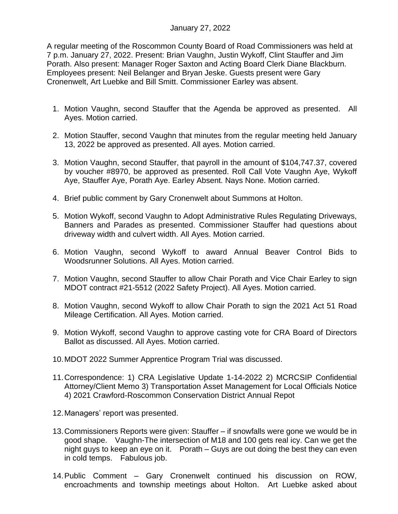## January 27, 2022

A regular meeting of the Roscommon County Board of Road Commissioners was held at 7 p.m. January 27, 2022. Present: Brian Vaughn, Justin Wykoff, Clint Stauffer and Jim Porath. Also present: Manager Roger Saxton and Acting Board Clerk Diane Blackburn. Employees present: Neil Belanger and Bryan Jeske. Guests present were Gary Cronenwelt, Art Luebke and Bill Smitt. Commissioner Earley was absent.

- 1. Motion Vaughn, second Stauffer that the Agenda be approved as presented. All Ayes. Motion carried.
- 2. Motion Stauffer, second Vaughn that minutes from the regular meeting held January 13, 2022 be approved as presented. All ayes. Motion carried.
- 3. Motion Vaughn, second Stauffer, that payroll in the amount of \$104,747.37, covered by voucher #8970, be approved as presented. Roll Call Vote Vaughn Aye, Wykoff Aye, Stauffer Aye, Porath Aye. Earley Absent. Nays None. Motion carried.
- 4. Brief public comment by Gary Cronenwelt about Summons at Holton.
- 5. Motion Wykoff, second Vaughn to Adopt Administrative Rules Regulating Driveways, Banners and Parades as presented. Commissioner Stauffer had questions about driveway width and culvert width. All Ayes. Motion carried.
- 6. Motion Vaughn, second Wykoff to award Annual Beaver Control Bids to Woodsrunner Solutions. All Ayes. Motion carried.
- 7. Motion Vaughn, second Stauffer to allow Chair Porath and Vice Chair Earley to sign MDOT contract #21-5512 (2022 Safety Project). All Ayes. Motion carried.
- 8. Motion Vaughn, second Wykoff to allow Chair Porath to sign the 2021 Act 51 Road Mileage Certification. All Ayes. Motion carried.
- 9. Motion Wykoff, second Vaughn to approve casting vote for CRA Board of Directors Ballot as discussed. All Ayes. Motion carried.
- 10.MDOT 2022 Summer Apprentice Program Trial was discussed.
- 11.Correspondence: 1) CRA Legislative Update 1-14-2022 2) MCRCSIP Confidential Attorney/Client Memo 3) Transportation Asset Management for Local Officials Notice 4) 2021 Crawford-Roscommon Conservation District Annual Repot
- 12.Managers' report was presented.
- 13.Commissioners Reports were given: Stauffer if snowfalls were gone we would be in good shape. Vaughn-The intersection of M18 and 100 gets real icy. Can we get the night guys to keep an eye on it. Porath – Guys are out doing the best they can even in cold temps. Fabulous job.
- 14.Public Comment Gary Cronenwelt continued his discussion on ROW, encroachments and township meetings about Holton. Art Luebke asked about